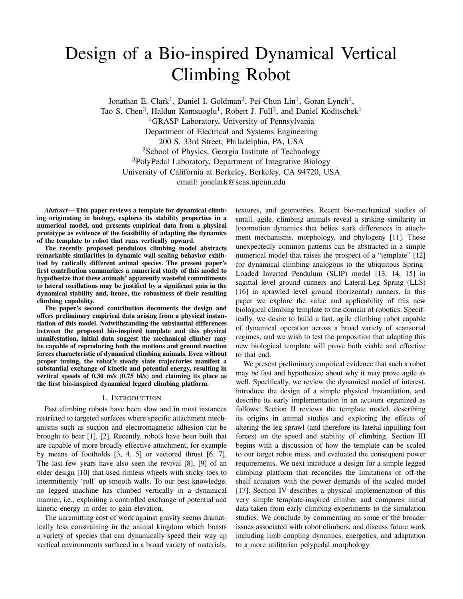# Design of a Bio-inspired Dynamical Vertical Climbing Robot

Jonathan E. Clark<sup>1</sup>, Daniel I. Goldman<sup>2</sup>, Pei-Chun Lin<sup>1</sup>, Goran Lynch<sup>1</sup>, Tao S. Chen<sup>3</sup>, Haldun Komsuoglu<sup>1</sup>, Robert J. Full<sup>3</sup>, and Daniel Koditschek<sup>1</sup> <sup>1</sup>GRASP Laboratory, University of Pennsylvania Department of Electrical and Systems Engineering 200 S. 33rd Street, Philadelphia, PA, USA <sup>2</sup>School of Physics, Georgia Institute of Technology <sup>3</sup>PolyPedal Laboratory, Department of Integrative Biology University of California at Berkeley, Berkeley, CA 94720, USA email: jonclark@seas.upenn.edu

*Abstract*— This paper reviews a template for dynamical climbing originating in biology, explores its stability properties in a numerical model, and presents empirical data from a physical prototype as evidence of the feasibility of adapting the dynamics of the template to robot that runs vertically upward.

The recently proposed pendulous climbing model abstracts remarkable similarities in dynamic wall scaling behavior exhibited by radically different animal species. The present paper's first contribution summarizes a numerical study of this model to hypothesize that these animals' apparently wasteful commitments to lateral oscillations may be justified by a significant gain in the dynamical stability and, hence, the robustness of their resulting climbing capability.

The paper's second contribution documents the design and offers preliminary empirical data arising from a physical instantiation of this model. Notwithstanding the substantial differences between the proposed bio-inspired template and this physical manifestation, initial data suggest the mechanical climber may be capable of reproducing both the motions and ground reaction forces characteristic of dynamical climbing animals. Even without proper tuning, the robot's steady state trajectories manifest a substantial exchange of kinetic and potential energy, resulting in vertical speeds of 0.30 m/s (0.75 bl/s) and claiming its place as the first bio-inspired dynamical legged climbing platform.

#### I. INTRODUCTION

Past climbing robots have been slow and in most instances restricted to targeted surfaces where specific attachment mechanisms such as suction and electromagnetic adhesion can be brought to bear [1], [2]. Recently, robots have been built that are capable of more broadly effective attachment, for example by means of footholds [3, 4, 5] or vectored thrust [6, 7]. The last few years have also seen the revival [8], [9] of an older design [10] that used rimless wheels with sticky toes to intermittently 'roll' up smooth walls. To our best knowledge, no legged machine has climbed vertically in a dynamical manner, i.e., exploiting a controlled exchange of potential and kinetic energy in order to gain elevation.

The unremitting cost of work against gravity seems dramatically less constraining in the animal kingdom which boasts a variety of species that can dynamically speed their way up vertical environments surfaced in a broad variety of materials, textures, and geometries. Recent bio-mechanical studies of small, agile, climbing animals reveal a striking similarity in locomotion dynamics that belies stark differences in attachment mechanisms, morphology, and phylogeny [11]. These unexpectedly common patterns can be abstracted in a simple numerical model that raises the prospect of a "template" [12] for dynamical climbing analogous to the ubiquitous Spring-Loaded Inverted Pendulum (SLIP) model [13, 14, 15] in sagittal level ground runners and Lateral-Leg Spring (LLS) [16] in sprawled level ground (horizontal) runners. In this paper we explore the value and applicability of this new biological climbing template to the domain of robotics. Specifically, we desire to build a fast, agile climbing robot capable of dynamical operation across a broad variety of scansorial regimes, and we wish to test the proposition that adapting this new biological template will prove both viable and effective to that end.

We present preliminary empirical evidence that such a robot may be fast and hypothesize about why it may prove agile as well. Specifically, we review the dynamical model of interest, introduce the design of a simple physical instantiation, and describe its early implementation in an account organized as follows: Section II reviews the template model, describing its origins in animal studies and exploring the effects of altering the leg sprawl (and therefore its lateral inpulling foot forces) on the speed and stability of climbing. Section III begins with a discussion of how the template can be scaled to our target robot mass, and evaluated the consequent power requirements. We next introduce a design for a simple legged climbing platform that reconciles the limitations of off-the shelf actuators with the power demands of the scaled model [17]. Section IV describes a physical implementation of this very simple template-inspired climber and compares initial data taken from early climbing experiments to the simulation studies. We conclude by commenting on some of the broader issues associated with robot climbers, and discuss future work including limb coupling dynamics, energetics, and adaptation to a more utilitarian polypedal morphology.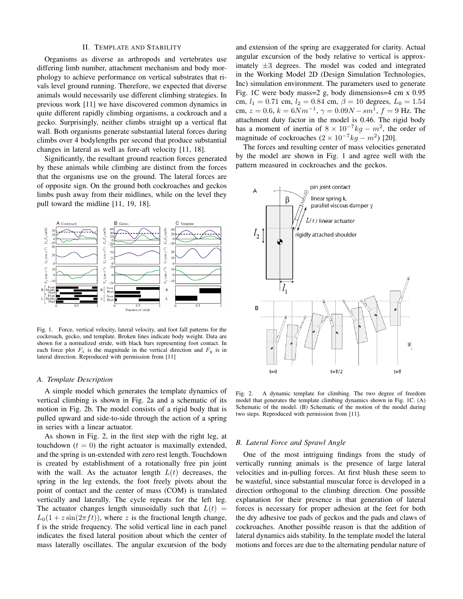#### II. TEMPLATE AND STABILITY

Organisms as diverse as arthropods and vertebrates use differing limb number, attachment mechanism and body morphology to achieve performance on vertical substrates that rivals level ground running. Therefore, we expected that diverse animals would necessarily use different climbing strategies. In previous work [11] we have discovered common dynamics in quite different rapidly climbing organisms, a cockroach and a gecko. Surprisingly, neither climbs straight up a vertical flat wall. Both organisms generate substantial lateral forces during climbs over 4 bodylengths per second that produce substantial changes in lateral as well as fore-aft velocity [11, 18].

Significantly, the resultant ground reaction forces generated by these animals while climbing are distinct from the forces that the organisms use on the ground. The lateral forces are of opposite sign. On the ground both cockroaches and geckos limbs push away from their midlines, while on the level they pull toward the midline [11, 19, 18].



Fig. 1. Force, vertical velocity, lateral velocity, and foot fall patterns for the cockroach, gecko, and template. Broken lines indicate body weight. Data are shown for a normalized stride, with black bars representing foot contact. In each force plot  $F_z$  is the magnitude in the vertical direction and  $F_y$  is in lateral direction. Reproduced with permission from [11]

#### *A. Template Description*

A simple model which generates the template dynamics of vertical climbing is shown in Fig. 2a and a schematic of its motion in Fig. 2b. The model consists of a rigid body that is pulled upward and side-to-side through the action of a spring in series with a linear actuator.

As shown in Fig. 2, in the first step with the right leg, at touchdown  $(t = 0)$  the right actuator is maximally extended, and the spring is un-extended with zero rest length. Touchdown is created by establishment of a rotationally free pin joint with the wall. As the actuator length  $L(t)$  decreases, the spring in the leg extends, the foot freely pivots about the point of contact and the center of mass (COM) is translated vertically and laterally. The cycle repeats for the left leg. The actuator changes length sinusoidally such that  $L(t) =$  $L_0(1 + z \sin(2\pi f t))$ , where z is the fractional length change, f is the stride frequency. The solid vertical line in each panel indicates the fixed lateral position about which the center of mass laterally oscillates. The angular excursion of the body

and extension of the spring are exaggerated for clarity. Actual angular excursion of the body relative to vertical is approximately  $\pm 3$  degrees. The model was coded and integrated in the Working Model 2D (Design Simulation Technologies, Inc) simulation environment. The parameters used to generate Fig. 1C were body mass=2 g, body dimensions=4 cm x 0.95 cm,  $l_1 = 0.71$  cm,  $l_2 = 0.84$  cm,  $\beta = 10$  degrees,  $L_0 = 1.54$ cm,  $z = 0.6$ ,  $k = 6Nm^{-1}$ ,  $\gamma = 0.09N - sm^1$ ,  $f = 9$  Hz. The attachment duty factor in the model is 0.46. The rigid body has a moment of inertia of  $8 \times 10^{-7} kg - m^2$ , the order of magnitude of cockroaches  $(2 \times 10^{-7}kg - m^2)$  [20].

The forces and resulting center of mass velocities generated by the model are shown in Fig. 1 and agree well with the pattern measured in cockroaches and the geckos.



Fig. 2. A dynamic template for climbing. The two degree of freedom model that generates the template climbing dynamics shown in Fig. 1C. (A) Schematic of the model. (B) Schematic of the motion of the model during two steps. Reproduced with permission from [11].

#### *B. Lateral Force and Sprawl Angle*

One of the most intriguing findings from the study of vertically running animals is the presence of large lateral velocities and in-pulling forces. At first blush these seem to be wasteful, since substantial muscular force is developed in a direction orthogonal to the climbing direction. One possible explanation for their presence is that generation of lateral forces is necessary for proper adhesion at the feet for both the dry adhesive toe pads of geckos and the pads and claws of cockroaches. Another possible reason is that the addition of lateral dynamics aids stability. In the template model the lateral motions and forces are due to the alternating pendular nature of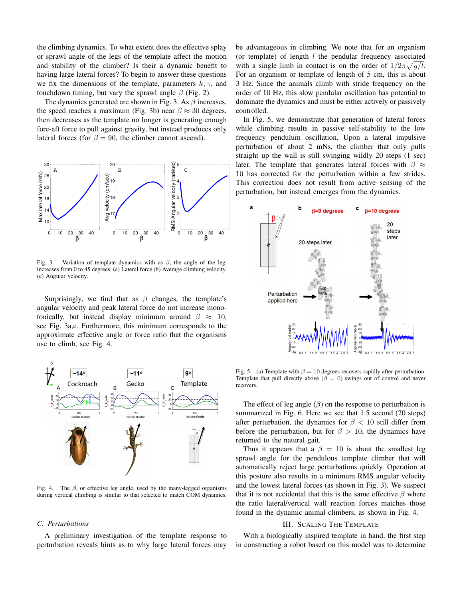the climbing dynamics. To what extent does the effective splay or sprawl angle of the legs of the template affect the motion and stability of the climber? Is their a dynamic benefit to having large lateral forces? To begin to answer these questions we fix the dimensions of the template, parameters  $k, \gamma$ , and touchdown timing, but vary the sprawl angle  $\beta$  (Fig. 2).

The dynamics generated are shown in Fig. 3. As  $\beta$  increases, the speed reaches a maximum (Fig. 3b) near  $\beta \approx 30$  degrees, then decreases as the template no longer is generating enough fore-aft force to pull against gravity, but instead produces only lateral forces (for  $\beta = 90$ , the climber cannot ascend).



Fig. 3. Variation of template dynamics with as  $\beta$ , the angle of the leg, increases from 0 to 45 degrees. (a) Lateral force (b) Average climbing velocity. (c) Angular velocity.

Surprisingly, we find that as  $\beta$  changes, the template's angular velocity and peak lateral force do not increase monotonically, but instead display minimum around  $\beta \approx 10$ , see Fig. 3a,c. Furthermore, this minimum corresponds to the approximate effective angle or force ratio that the organisms use to climb, see Fig. 4.



Fig. 4. The  $\beta$ , or effective leg angle, used by the many-legged organisms during vertical climbing is similar to that selected to match COM dynamics.

## *C. Perturbations*

A preliminary investigation of the template response to perturbation reveals hints as to why large lateral forces may be advantageous in climbing. We note that for an organism (or template) of length  $l$  the pendular frequency associated with a single limb in contact is on the order of  $1/2\pi\sqrt{g/l}$ .<br>For an organism or template of length of 5 cm, this is about For an organism or template of length of 5 cm, this is about 3 Hz. Since the animals climb with stride frequency on the order of 10 Hz, this slow pendular oscillation has potential to dominate the dynamics and must be either actively or passively controlled.

In Fig. 5, we demonstrate that generation of lateral forces while climbing results in passive self-stability to the low frequency pendulum oscillation. Upon a lateral impulsive perturbation of about 2 mNs, the climber that only pulls straight up the wall is still swinging wildly 20 steps (1 sec) later. The template that generates lateral forces with  $\beta \approx$ 10 has corrected for the perturbation within a few strides. This correction does not result from active sensing of the perturbation, but instead emerges from the dynamics.



Fig. 5. (a) Template with  $\beta = 10$  degrees recovers rapidly after perturbation. Template that pull directly above ( $\beta = 0$ ) swings out of control and never recovers.

The effect of leg angle  $(\beta)$  on the response to perturbation is summarized in Fig. 6. Here we see that 1.5 second (20 steps) after perturbation, the dynamics for  $\beta < 10$  still differ from before the perturbation, but for  $\beta > 10$ , the dynamics have returned to the natural gait.

Thus it appears that a  $\beta = 10$  is about the smallest leg sprawl angle for the pendulous template climber that will automatically reject large perturbations quickly. Operation at this posture also results in a minimum RMS angular velocity and the lowest lateral forces (as shown in Fig. 3). We suspect that it is not accidental that this is the same effective  $\beta$  where the ratio lateral/vertical wall reaction forces matches those found in the dynamic animal climbers, as shown in Fig. 4.

## III. SCALING THE TEMPLATE

With a biologically inspired template in hand, the first step in constructing a robot based on this model was to determine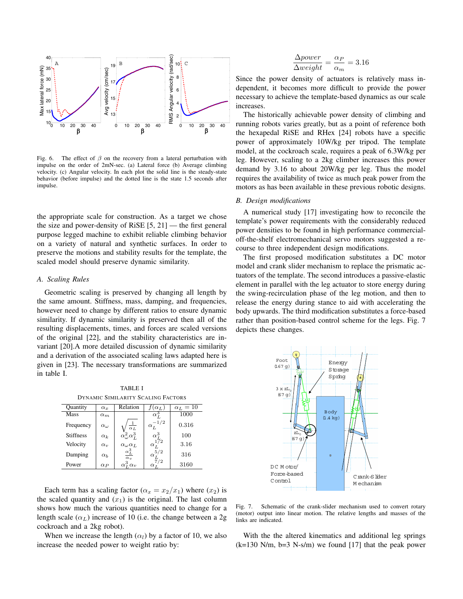

Fig. 6. The effect of  $\beta$  on the recovery from a lateral perturbation with impulse on the order of 2mN-sec. (a) Lateral force (b) Average climbing velocity. (c) Angular velocity. In each plot the solid line is the steady-state behavior (before impulse) and the dotted line is the state 1.5 seconds after impulse.

the appropriate scale for construction. As a target we chose the size and power-density of RiSE  $[5, 21]$  — the first general purpose legged machine to exhibit reliable climbing behavior on a variety of natural and synthetic surfaces. In order to preserve the motions and stability results for the template, the scaled model should preserve dynamic similarity.

## *A. Scaling Rules*

Geometric scaling is preserved by changing all length by the same amount. Stiffness, mass, damping, and frequencies, however need to change by different ratios to ensure dynamic similarity. If dynamic similarity is preserved then all of the resulting displacements, times, and forces are scaled versions of the original [22], and the stability characteristics are invariant [20].A more detailed discussion of dynamic similarity and a derivation of the associated scaling laws adapted here is given in [23]. The necessary transformations are summarized in table I.

TABLE I DYNAMIC SIMILARITY SCALING FACTORS

| Quantity         | $\alpha_x$        | Relation                               | $(\alpha_L)$          | $\alpha_L=10$ |
|------------------|-------------------|----------------------------------------|-----------------------|---------------|
| Mass             | $\alpha_m$        |                                        | $\overline{\alpha}^3$ | 1000          |
| Frequency        | $\alpha_{\omega}$ | $\sqrt{\frac{1}{\alpha_L}}$            | $\alpha_L^{-1/2}$     | 0.316         |
| <b>Stiffness</b> | $\alpha_k$        |                                        | $\alpha^3$            | 100           |
| Velocity         | $\alpha_v$        | $\alpha_{\omega}\alpha_L$              | 172<br>$\alpha_L$     | 3.16          |
| Damping          | $\alpha_b$        | $\underline{\alpha}^3_L$<br>$\alpha_v$ | $\alpha_L^{5/2}$      | 316           |
| Power            | $\alpha_P$        | $\alpha$<br>$\alpha_v$                 | 7/2<br>$\alpha$       | 3160          |

Each term has a scaling factor ( $\alpha_x = x_2/x_1$ ) where (x<sub>2</sub>) is the scaled quantity and  $(x_1)$  is the original. The last column shows how much the various quantities need to change for a length scale  $(\alpha_L)$  increase of 10 (i.e. the change between a 2g cockroach and a 2kg robot).

When we increase the length  $(\alpha_l)$  by a factor of 10, we also increase the needed power to weight ratio by:

$$
\frac{\Delta power}{\Delta weight} = \frac{\alpha_P}{\alpha_m} = 3.16
$$

 $\frac{\Delta power}{\Delta weight} = \frac{\alpha_P}{\alpha_m} = 3.16$ <br>Since the power density of actuators is relatively mass independent, it becomes more difficult to provide the power necessary to achieve the template-based dynamics as our scale increases.

The historically achievable power density of climbing and running robots varies greatly, but as a point of reference both the hexapedal RiSE and RHex [24] robots have a specific power of approximately 10W/kg per tripod. The template model, at the cockroach scale, requires a peak of 6.3W/kg per leg. However, scaling to a 2kg climber increases this power demand by 3.16 to about 20W/kg per leg. Thus the model requires the availability of twice as much peak power from the motors as has been available in these previous robotic designs.

## *B. Design modifications*

A numerical study [17] investigating how to reconcile the template's power requirements with the considerably reduced power densities to be found in high performance commercialoff-the-shelf electromechanical servo motors suggested a recourse to three independent design modifications.

The first proposed modification substitutes a DC motor model and crank slider mechanism to replace the prismatic actuators of the template. The second introduces a passive-elastic element in parallel with the leg actuator to store energy during the swing-recirculation phase of the leg motion, and then to release the energy during stance to aid with accelerating the body upwards. The third modification substitutes a force-based rather than position-based control scheme for the legs. Fig. 7 depicts these changes.



Fig. 7. Schematic of the crank-slider mechanism used to convert rotary (motor) output into linear motion. The relative lengths and masses of the links are indicated.

With the the altered kinematics and additional leg springs  $(k=130 \text{ N/m}, b=3 \text{ N-s/m})$  we found [17] that the peak power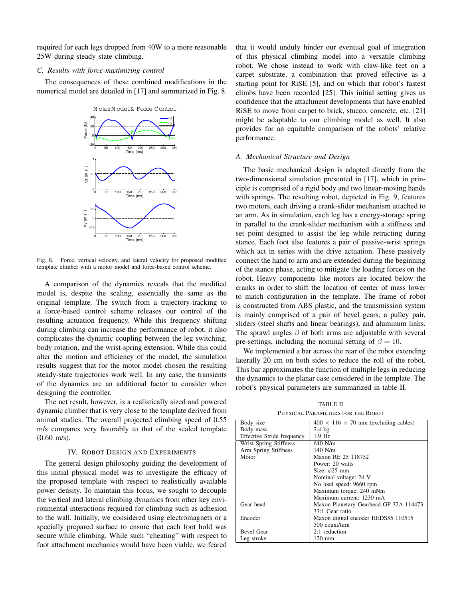required for each legs dropped from 40W to a more reasonable 25W during steady state climbing.

# *C. Results with force-maximizing control*

The consequences of these combined modifications in the numerical model are detailed in [17] and summarized in Fig. 8.



Fig. 8. Force, vertical velocity, and lateral velocity for proposed modified template climber with a motor model and force-based control scheme.

A comparison of the dynamics reveals that the modified model is, despite the scaling, essentially the same as the original template. The switch from a trajectory-tracking to a force-based control scheme releases our control of the resulting actuation frequency. While this frequency shifting during climbing can increase the performance of robot, it also complicates the dynamic coupling between the leg switching, body rotation, and the wrist-spring extension. While this could alter the motion and efficiency of the model, the simulation results suggest that for the motor model chosen the resulting steady-state trajectories work well. In any case, the transients of the dynamics are an additional factor to consider when designing the controller.

The net result, however, is a realistically sized and powered dynamic climber that is very close to the template derived from animal studies. The overall projected climbing speed of 0.55 m/s compares very favorably to that of the scaled template (0.60 m/s).

# IV. ROBOT DESIGN AND EXPERIMENTS

The general design philosophy guiding the development of this initial physical model was to investigate the efficacy of the proposed template with respect to realistically available power density. To maintain this focus, we sought to decouple the vertical and lateral climbing dynamics from other key environmental interactions required for climbing such as adhesion to the wall. Initially, we considered using electromagnets or a specially prepared surface to ensure that each foot hold was secure while climbing. While such "cheating" with respect to foot attachment mechanics would have been viable, we feared

that it would unduly hinder our eventual goal of integration of this physical climbing model into a versatile climbing robot. We chose instead to work with claw-like feet on a carpet substrate, a combination that proved effective as a starting point for RiSE [5], and on which that robot's fastest climbs have been recorded [25]. This initial setting gives us confidence that the attachment developments that have enabled RiSE to move from carpet to brick, stucco, concrete, etc. [21] might be adaptable to our climbing model as well. It also provides for an equitable comparison of the robots' relative performance.

# *A. Mechanical Structure and Design*

The basic mechanical design is adapted directly from the two-dimensional simulation presented in [17], which in principle is comprised of a rigid body and two linear-moving hands with springs. The resulting robot, depicted in Fig. 9, features two motors, each driving a crank-slider mechanism attached to an arm. As in simulation, each leg has a energy-storage spring in parallel to the crank-slider mechanism with a stiffness and set point designed to assist the leg while retracting during stance. Each foot also features a pair of passive-wrist springs which act in series with the drive actuation. These passively connect the hand to arm and are extended during the beginning of the stance phase, acting to mitigate the loading forces on the robot. Heavy components like motors are located below the cranks in order to shift the location of center of mass lower to match configuration in the template. The frame of robot is constructed from ABS plastic, and the transmission system is mainly comprised of a pair of bevel gears, a pulley pair, sliders (steel shafts and linear bearings), and aluminum links. The sprawl angles  $\beta$  of both arms are adjustable with several pre-settings, including the nominal setting of  $\beta = 10$ .

We implemented a bar across the rear of the robot extending laterally 20 cm on both sides to reduce the roll of the robot. This bar approximates the function of multiple legs in reducing the dynamics to the planar case considered in the template. The robot's physical parameters are summarized in table II.

PHYSICAL PARAMETERS FOR THE ROBOT

| Body size                  | $400 \times 116 \times 70$ mm (excluding cables) |  |  |
|----------------------------|--------------------------------------------------|--|--|
| Body mass                  | $2.4 \text{ kg}$                                 |  |  |
| Effective Stride frequency | $1.9$ Hz                                         |  |  |
| Wrist Spring Stiffness     | $640$ N/m                                        |  |  |
| Arm Spring Stiffness       | $140$ N/m                                        |  |  |
| Motor                      | Maxon RE 25 118752                               |  |  |
|                            | Power: 20 watts                                  |  |  |
|                            | Size: $\phi$ 25 mm                               |  |  |
|                            | Nominal voltage: 24 V                            |  |  |
|                            | No load speed: 9660 rpm                          |  |  |
|                            | Maximum torque: 240 mNm                          |  |  |
|                            | Maximum current: 1230 mA                         |  |  |
| Gear head                  | Maxon Planetary Gearhead GP 32A 114473           |  |  |
|                            | 33:1 Gear ratio                                  |  |  |
| Encoder                    | Maxon digital encoder HEDS55 110515              |  |  |
|                            | 500 count/turn                                   |  |  |
| <b>Bevel Gear</b>          | $2:1$ reduction                                  |  |  |
| Leg stroke                 | 120 mm                                           |  |  |
|                            |                                                  |  |  |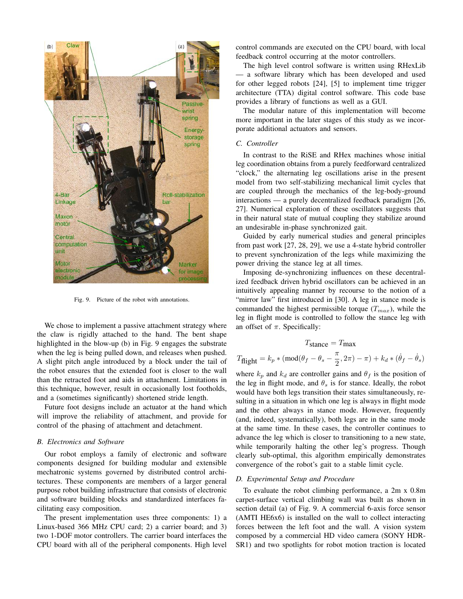

Fig. 9. Picture of the robot with annotations.

We chose to implement a passive attachment strategy where the claw is rigidly attached to the hand. The bent shape highlighted in the blow-up (b) in Fig. 9 engages the substrate when the leg is being pulled down, and releases when pushed. A slight pitch angle introduced by a block under the tail of the robot ensures that the extended foot is closer to the wall than the retracted foot and aids in attachment. Limitations in this technique, however, result in occasionally lost footholds, and a (sometimes significantly) shortened stride length.

Future foot designs include an actuator at the hand which will improve the reliability of attachment, and provide for control of the phasing of attachment and detachment.

# *B. Electronics and Software*

Our robot employs a family of electronic and software components designed for building modular and extensible mechatronic systems governed by distributed control architectures. These components are members of a larger general purpose robot building infrastructure that consists of electronic and software building blocks and standardized interfaces facilitating easy composition.

The present implementation uses three components: 1) a Linux-based 366 MHz CPU card; 2) a carrier board; and 3) two 1-DOF motor controllers. The carrier board interfaces the CPU board with all of the peripheral components. High level

control commands are executed on the CPU board, with local feedback control occurring at the motor controllers.

The high level control software is written using RHexLib — a software library which has been developed and used for other legged robots [24], [5] to implement time trigger architecture (TTA) digital control software. This code base provides a library of functions as well as a GUI.

The modular nature of this implementation will become more important in the later stages of this study as we incorporate additional actuators and sensors.

#### *C. Controller*

In contrast to the RiSE and RHex machines whose initial leg coordination obtains from a purely feedforward centralized "clock," the alternating leg oscillations arise in the present model from two self-stabilizing mechanical limit cycles that are coupled through the mechanics of the leg-body-ground interactions — a purely decentralized feedback paradigm [26, 27]. Numerical exploration of these oscillators suggests that in their natural state of mutual coupling they stabilize around an undesirable in-phase synchronized gait.

Guided by early numerical studies and general principles from past work [27, 28, 29], we use a 4-state hybrid controller to prevent synchronization of the legs while maximizing the power driving the stance leg at all times.

Imposing de-synchronizing influences on these decentralized feedback driven hybrid oscillators can be achieved in an intuitively appealing manner by recourse to the notion of a "mirror law" first introduced in [30]. A leg in stance mode is commanded the highest permissible torque  $(T_{max})$ , while the leg in flight mode is controlled to follow the stance leg with an offset of  $\pi$ . Specifically:

$$
T_{\text{stance}} = T_{\text{max}}
$$

$$
T_{\text{flight}} = k_p * (\text{mod}(\theta_f - \theta_s - \frac{\pi}{2}, 2\pi) - \pi) + k_d * (\dot{\theta}_f - \dot{\theta}_s)
$$

where  $k_p$  and  $k_d$  are controller gains and  $\theta_f$  is the position of the leg in flight mode, and  $\theta_s$  is for stance. Ideally, the robot would have both legs transition their states simultaneously, resulting in a situation in which one leg is always in flight mode and the other always in stance mode. However, frequently (and, indeed, systematically), both legs are in the same mode at the same time. In these cases, the controller continues to advance the leg which is closer to transitioning to a new state, while temporarily halting the other leg's progress. Though clearly sub-optimal, this algorithm empirically demonstrates convergence of the robot's gait to a stable limit cycle.

# *D. Experimental Setup and Procedure*

To evaluate the robot climbing performance, a 2m x 0.8m carpet-surface vertical climbing wall was built as shown in section detail (a) of Fig. 9. A commercial 6-axis force sensor (AMTI HE6x6) is installed on the wall to collect interacting forces between the left foot and the wall. A vision system composed by a commercial HD video camera (SONY HDR-SR1) and two spotlights for robot motion traction is located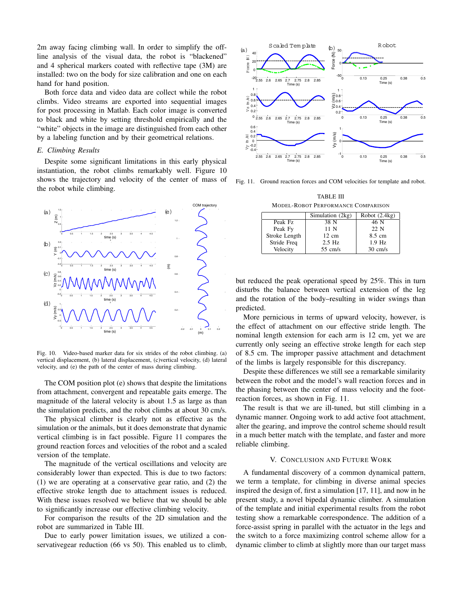2m away facing climbing wall. In order to simplify the offline analysis of the visual data, the robot is "blackened" and 4 spherical markers coated with reflective tape (3M) are installed: two on the body for size calibration and one on each hand for hand position.

Both force data and video data are collect while the robot climbs. Video streams are exported into sequential images for post processing in Matlab. Each color image is converted to black and white by setting threshold empirically and the "white" objects in the image are distinguished from each other by a labeling function and by their geometrical relations.

# *E. Climbing Results*

Despite some significant limitations in this early physical instantiation, the robot climbs remarkably well. Figure 10 shows the trajectory and velocity of the center of mass of the robot while climbing.



Fig. 10. Video-based marker data for six strides of the robot climbing. (a) vertical displacement, (b) lateral displacement, (c)vertical velocity, (d) lateral velocity, and (e) the path of the center of mass during climbing.

The COM position plot (e) shows that despite the limitations from attachment, convergent and repeatable gaits emerge. The magnitude of the lateral velocity is about 1.5 as large as than the simulation predicts, and the robot climbs at about 30 cm/s.

The physical climber is clearly not as effective as the simulation or the animals, but it does demonstrate that dynamic vertical climbing is in fact possible. Figure 11 compares the ground reaction forces and velocities of the robot and a scaled version of the template.

The magnitude of the vertical oscillations and velocity are considerably lower than expected. This is due to two factors: (1) we are operating at a conservative gear ratio, and (2) the effective stroke length due to attachment issues is reduced. With these issues resolved we believe that we should be able to significantly increase our effective climbing velocity.

For comparison the results of the 2D simulation and the robot are summarized in Table III.

Due to early power limitation issues, we utilized a conservativegear reduction (66 vs 50). This enabled us to climb,



Fig. 11. Ground reaction forces and COM velocities for template and robot.

TABLE III MODEL-ROBOT PERFORMANCE COMPARISON

|               | Simulation (2kg)  | Robot $(2.4kg)$   |
|---------------|-------------------|-------------------|
| Peak Fz       | 38 N              | 46 N              |
| Peak Fy       | 11 N              | 22 N              |
| Stroke Length | $12 \text{ cm}$   | 8.5 cm            |
| Stride Freq   | $2.5$ Hz          | $1.9$ Hz          |
| Velocity      | $55 \text{ cm/s}$ | $30 \text{ cm/s}$ |

but reduced the peak operational speed by 25%. This in turn disturbs the balance between vertical extension of the leg and the rotation of the body–resulting in wider swings than predicted.

More pernicious in terms of upward velocity, however, is the effect of attachment on our effective stride length. The nominal length extension for each arm is 12 cm, yet we are currently only seeing an effective stroke length for each step of 8.5 cm. The improper passive attachment and detachment of the limbs is largely responsible for this discrepancy.

Despite these differences we still see a remarkable similarity between the robot and the model's wall reaction forces and in the phasing between the center of mass velocity and the footreaction forces, as shown in Fig. 11.

The result is that we are ill-tuned, but still climbing in a dynamic manner. Ongoing work to add active foot attachment, alter the gearing, and improve the control scheme should result in a much better match with the template, and faster and more reliable climbing.

## V. CONCLUSION AND FUTURE WORK

A fundamental discovery of a common dynamical pattern, we term a template, for climbing in diverse animal species inspired the design of, first a simulation [17, 11], and now in he present study, a novel bipedal dynamic climber. A simulation of the template and initial experimental results from the robot testing show a remarkable correspondence. The addition of a force-assist spring in parallel with the actuator in the legs and the switch to a force maximizing control scheme allow for a dynamic climber to climb at slightly more than our target mass